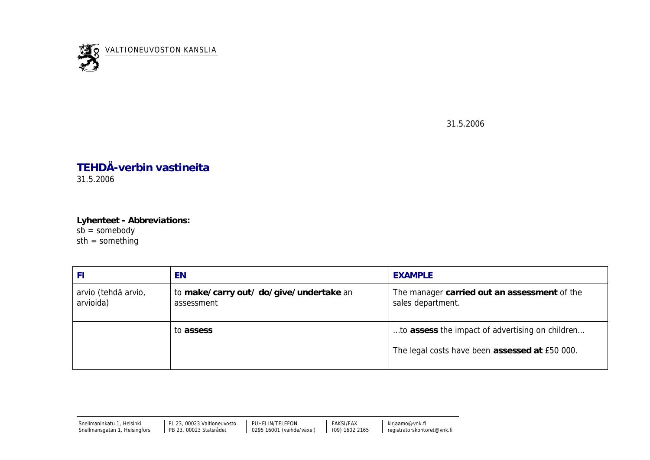

31.5.2006

## **TEHDÄ-verbin vastineita** 31.5.2006

**Lyhenteet - Abbreviations:**  $s\bar{b}$  = somebody  $sth = something$ 

| FI                               | EN                                                    | <b>EXAMPLE</b>                                                                                    |
|----------------------------------|-------------------------------------------------------|---------------------------------------------------------------------------------------------------|
| arvio (tehdä arvio,<br>arvioida) | to make/carry out/ do/give/undertake an<br>assessment | The manager carried out an assessment of the<br>sales department.                                 |
|                                  | to assess                                             | to assess the impact of advertising on children<br>The legal costs have been assessed at £50 000. |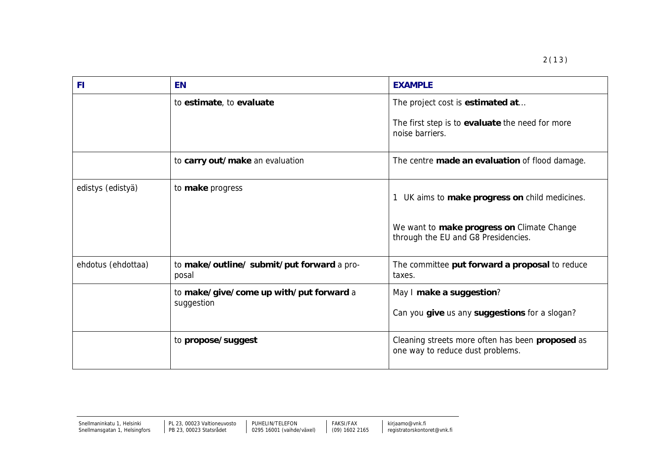| F1                 | <b>EN</b>                                             | <b>EXAMPLE</b>                                                                                         |
|--------------------|-------------------------------------------------------|--------------------------------------------------------------------------------------------------------|
|                    | to estimate, to evaluate                              | The project cost is estimated at<br>The first step is to evaluate the need for more<br>noise barriers. |
|                    | to carry out/make an evaluation                       | The centre made an evaluation of flood damage.                                                         |
| edistys (edistyä)  | to make progress                                      | UK aims to make progress on child medicines.                                                           |
|                    |                                                       | We want to make progress on Climate Change<br>through the EU and G8 Presidencies.                      |
| ehdotus (ehdottaa) | to make/outline/ submit/put forward a pro-<br>posal   | The committee put forward a proposal to reduce<br>taxes.                                               |
|                    | to make/give/come up with/put forward a<br>suggestion | May I make a suggestion?<br>Can you give us any suggestions for a slogan?                              |
|                    | to propose/suggest                                    | Cleaning streets more often has been proposed as<br>one way to reduce dust problems.                   |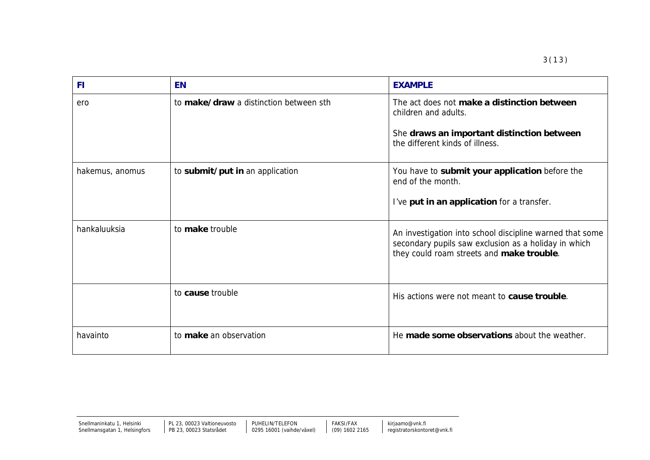| <b>FI</b>       | <b>EN</b>                              | <b>EXAMPLE</b>                                                                                                                                                |
|-----------------|----------------------------------------|---------------------------------------------------------------------------------------------------------------------------------------------------------------|
| ero             | to make/draw a distinction between sth | The act does not make a distinction between<br>children and adults.<br>She draws an important distinction between<br>the different kinds of illness.          |
| hakemus, anomus | to submit/put in an application        | You have to submit your application before the<br>end of the month.<br>I've put in an application for a transfer.                                             |
| hankaluuksia    | to make trouble                        | An investigation into school discipline warned that some<br>secondary pupils saw exclusion as a holiday in which<br>they could roam streets and make trouble. |
|                 | to cause trouble                       | His actions were not meant to cause trouble.                                                                                                                  |
| havainto        | to make an observation                 | He made some observations about the weather.                                                                                                                  |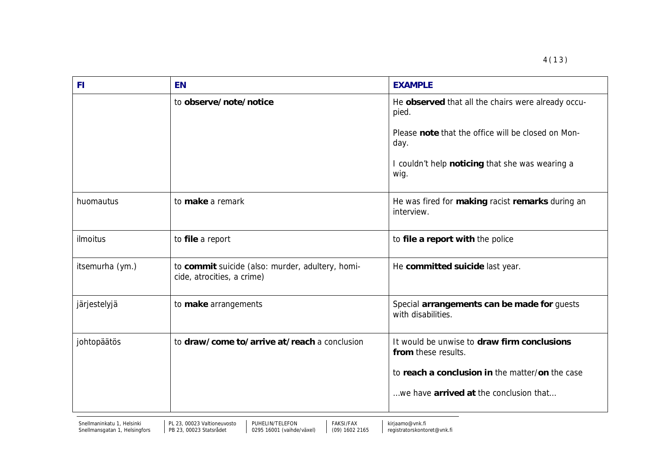| <b>FI</b>       | <b>EN</b>                                                                      | <b>EXAMPLE</b>                                                     |
|-----------------|--------------------------------------------------------------------------------|--------------------------------------------------------------------|
|                 | to observe/note/notice                                                         | He observed that all the chairs were already occu-<br>pied.        |
|                 |                                                                                | Please note that the office will be closed on Mon-<br>day.         |
|                 |                                                                                | I couldn't help noticing that she was wearing a<br>wig.            |
| huomautus       | to make a remark                                                               | He was fired for making racist remarks during an<br>interview.     |
| ilmoitus        | to file a report                                                               | to file a report with the police                                   |
| itsemurha (ym.) | to commit suicide (also: murder, adultery, homi-<br>cide, atrocities, a crime) | He committed suicide last year.                                    |
| järjestelyjä    | to make arrangements                                                           | Special arrangements can be made for guests<br>with disabilities.  |
| johtopäätös     | to draw/come to/arrive at/reach a conclusion                                   | It would be unwise to draw firm conclusions<br>from these results. |
|                 |                                                                                | to reach a conclusion in the matter/on the case                    |
|                 |                                                                                | we have arrived at the conclusion that                             |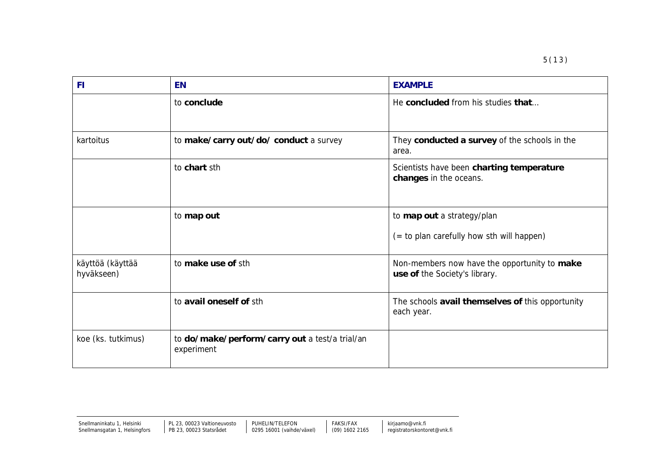| F1                             | <b>EN</b>                                                    | <b>EXAMPLE</b>                                                                |
|--------------------------------|--------------------------------------------------------------|-------------------------------------------------------------------------------|
|                                | to conclude                                                  | He concluded from his studies that                                            |
| kartoitus                      | to make/carry out/do/ conduct a survey                       | They conducted a survey of the schools in the<br>area.                        |
|                                | to chart sth                                                 | Scientists have been charting temperature<br>changes in the oceans.           |
|                                | to map out                                                   | to map out a strategy/plan<br>(= to plan carefully how sth will happen)       |
| käyttöä (käyttää<br>hyväkseen) | to make use of sth                                           | Non-members now have the opportunity to make<br>use of the Society's library. |
|                                | to avail oneself of sth                                      | The schools avail themselves of this opportunity<br>each year.                |
| koe (ks. tutkimus)             | to do/make/perform/carry out a test/a trial/an<br>experiment |                                                                               |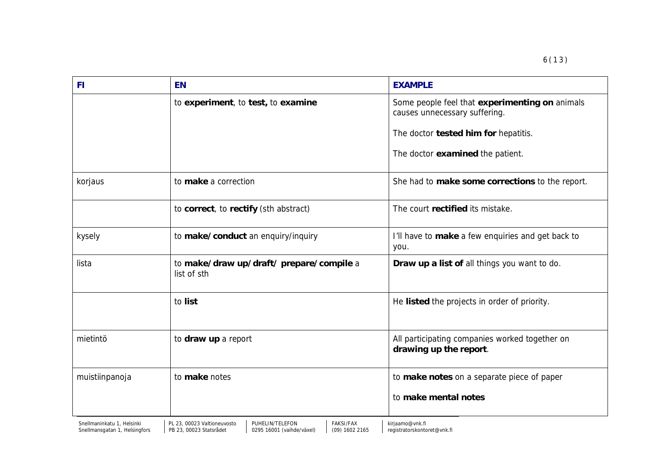| FI             | <b>EN</b>                                               | <b>EXAMPLE</b>                                                                  |
|----------------|---------------------------------------------------------|---------------------------------------------------------------------------------|
|                | to experiment, to test, to examine                      | Some people feel that experimenting on animals<br>causes unnecessary suffering. |
|                |                                                         | The doctor tested him for hepatitis.                                            |
|                |                                                         | The doctor examined the patient.                                                |
| korjaus        | to make a correction                                    | She had to make some corrections to the report.                                 |
|                | to correct, to rectify (sth abstract)                   | The court rectified its mistake.                                                |
| kysely         | to make/conduct an enquiry/inquiry                      | I'll have to make a few enquiries and get back to<br>you.                       |
| lista          | to make/draw up/draft/ prepare/compile a<br>list of sth | Draw up a list of all things you want to do.                                    |
|                | to list                                                 | He listed the projects in order of priority.                                    |
| mietintö       | to draw up a report                                     | All participating companies worked together on<br>drawing up the report.        |
| muistiinpanoja | to make notes                                           | to make notes on a separate piece of paper                                      |
|                |                                                         | to make mental notes                                                            |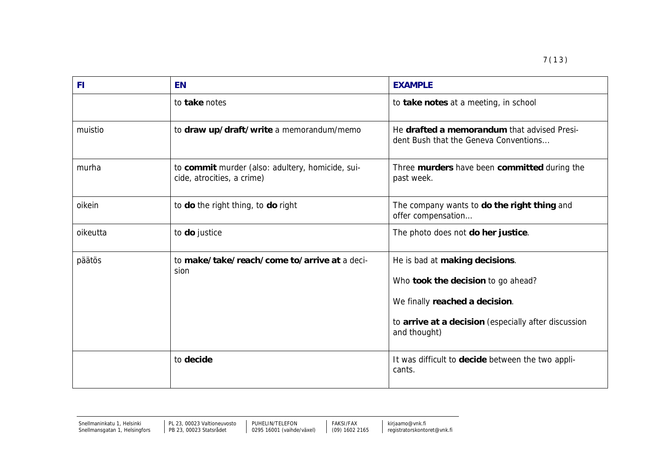| F1       | <b>EN</b>                                                                      | <b>EXAMPLE</b>                                                                                                                                                                 |
|----------|--------------------------------------------------------------------------------|--------------------------------------------------------------------------------------------------------------------------------------------------------------------------------|
|          | to take notes                                                                  | to take notes at a meeting, in school                                                                                                                                          |
| muistio  | to draw up/draft/write a memorandum/memo                                       | He drafted a memorandum that advised Presi-<br>dent Bush that the Geneva Conventions                                                                                           |
| murha    | to commit murder (also: adultery, homicide, sui-<br>cide, atrocities, a crime) | Three murders have been committed during the<br>past week.                                                                                                                     |
| oikein   | to do the right thing, to do right                                             | The company wants to do the right thing and<br>offer compensation                                                                                                              |
| oikeutta | to do justice                                                                  | The photo does not do her justice.                                                                                                                                             |
| päätös   | to make/take/reach/come to/arrive at a deci-<br>sion                           | He is bad at making decisions.<br>Who took the decision to go ahead?<br>We finally reached a decision.<br>to arrive at a decision (especially after discussion<br>and thought) |
|          | to decide                                                                      | It was difficult to decide between the two appli-<br>cants.                                                                                                                    |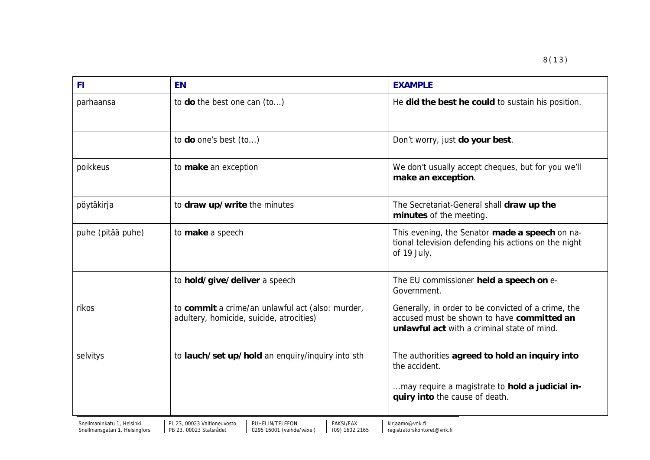| FI.               | <b>EN</b>                                                                                    | <b>EXAMPLE</b>                                                                                                                                       |
|-------------------|----------------------------------------------------------------------------------------------|------------------------------------------------------------------------------------------------------------------------------------------------------|
| parhaansa         | to do the best one can (to)                                                                  | He did the best he could to sustain his position.                                                                                                    |
|                   | to do one's best (to)                                                                        | Don't worry, just do your best.                                                                                                                      |
| poikkeus          | to make an exception                                                                         | We don't usually accept cheques, but for you we'll<br>make an exception.                                                                             |
| pöytäkirja        | to draw up/write the minutes                                                                 | The Secretariat-General shall draw up the<br>minutes of the meeting.                                                                                 |
| puhe (pitää puhe) | to make a speech                                                                             | This evening, the Senator made a speech on na-<br>tional television defending his actions on the night<br>of 19 July.                                |
|                   | to hold/give/deliver a speech                                                                | The EU commissioner held a speech on e-<br>Government.                                                                                               |
| rikos             | to commit a crime/an unlawful act (also: murder,<br>adultery, homicide, suicide, atrocities) | Generally, in order to be convicted of a crime, the<br>accused must be shown to have committed an<br>unlawful act with a criminal state of mind.     |
| selvitys          | to lauch/set up/hold an enquiry/inquiry into sth                                             | The authorities agreed to hold an inquiry into<br>the accident.<br>may require a magistrate to hold a judicial in-<br>quiry into the cause of death. |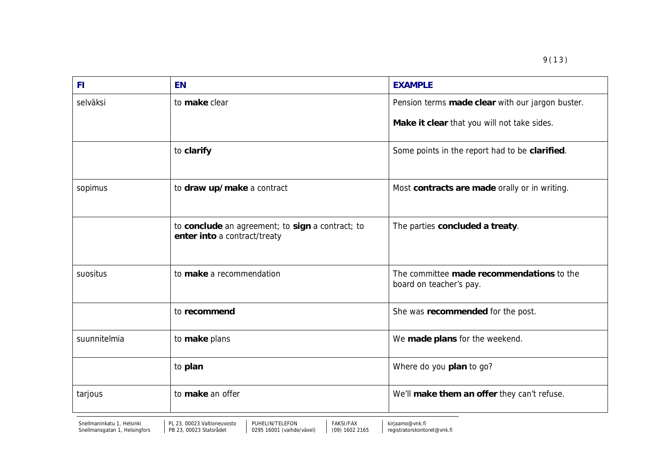| -FI          | <b>EN</b>                                                                        | <b>EXAMPLE</b>                                                       |
|--------------|----------------------------------------------------------------------------------|----------------------------------------------------------------------|
| selväksi     | to make clear                                                                    | Pension terms made clear with our jargon buster.                     |
|              |                                                                                  | Make it clear that you will not take sides.                          |
|              | to clarify                                                                       | Some points in the report had to be clarified.                       |
| sopimus      | to draw up/make a contract                                                       | Most contracts are made orally or in writing.                        |
|              | to conclude an agreement; to sign a contract; to<br>enter into a contract/treaty | The parties concluded a treaty.                                      |
| suositus     | to make a recommendation                                                         | The committee made recommendations to the<br>board on teacher's pay. |
|              | to recommend                                                                     | She was recommended for the post.                                    |
| suunnitelmia | to make plans                                                                    | We made plans for the weekend.                                       |
|              | to plan                                                                          | Where do you plan to go?                                             |
| tarjous      | to make an offer                                                                 | We'll make them an offer they can't refuse.                          |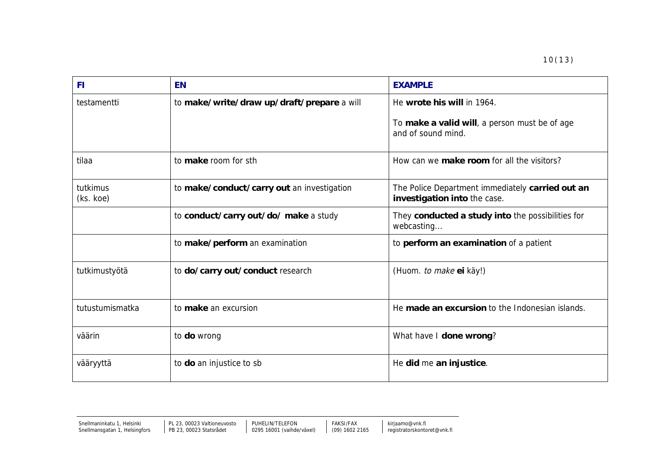| <b>FI</b>             | <b>EN</b>                                  | <b>EXAMPLE</b>                                                                                    |
|-----------------------|--------------------------------------------|---------------------------------------------------------------------------------------------------|
| testamentti           | to make/write/draw up/draft/prepare a will | He wrote his will in 1964.<br>To make a valid will, a person must be of age<br>and of sound mind. |
| tilaa                 | to make room for sth                       | How can we make room for all the visitors?                                                        |
| tutkimus<br>(ks. koe) | to make/conduct/carry out an investigation | The Police Department immediately carried out an<br>investigation into the case.                  |
|                       | to conduct/carry out/do/ make a study      | They conducted a study into the possibilities for<br>webcasting                                   |
|                       | to make/perform an examination             | to perform an examination of a patient                                                            |
| tutkimustyötä         | to do/carry out/conduct research           | (Huom. to make ei käy!)                                                                           |
| tutustumismatka       | to make an excursion                       | He made an excursion to the Indonesian islands.                                                   |
| väärin                | to do wrong                                | What have I done wrong?                                                                           |
| vääryyttä             | to do an injustice to sb                   | He did me an injustice.                                                                           |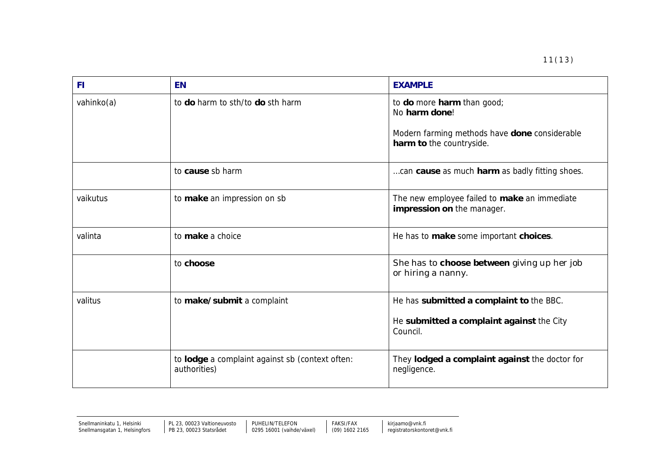| <b>FI</b>  | <b>EN</b>                                                       | <b>EXAMPLE</b>                                                             |
|------------|-----------------------------------------------------------------|----------------------------------------------------------------------------|
| vahinko(a) | to do harm to sth/to do sth harm                                | to do more harm than good;<br>No harm done!                                |
|            |                                                                 | Modern farming methods have done considerable<br>harm to the countryside.  |
|            | to cause sb harm                                                | can cause as much harm as badly fitting shoes.                             |
| vaikutus   | to make an impression on sb                                     | The new employee failed to make an immediate<br>impression on the manager. |
| valinta    | to make a choice                                                | He has to make some important choices.                                     |
|            | to choose                                                       | She has to choose between giving up her job<br>or hiring a nanny.          |
| valitus    | to make/submit a complaint                                      | He has submitted a complaint to the BBC.                                   |
|            |                                                                 | He submitted a complaint against the City<br>Council.                      |
|            | to lodge a complaint against sb (context often:<br>authorities) | They lodged a complaint against the doctor for<br>negligence.              |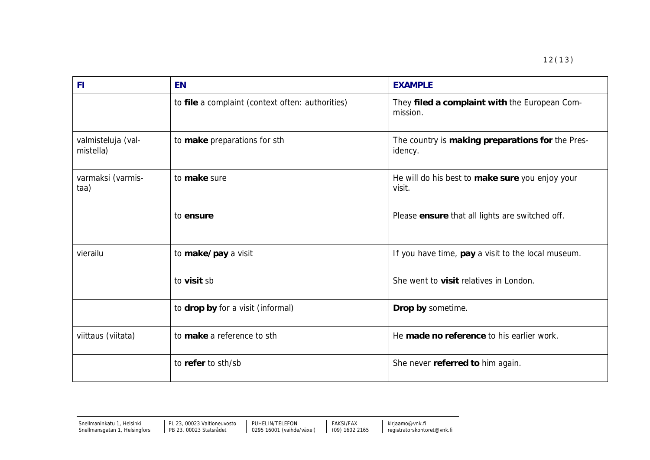| <b>FI</b>                       | <b>EN</b>                                        | <b>EXAMPLE</b>                                              |
|---------------------------------|--------------------------------------------------|-------------------------------------------------------------|
|                                 | to file a complaint (context often: authorities) | They filed a complaint with the European Com-<br>mission.   |
| valmisteluja (val-<br>mistella) | to make preparations for sth                     | The country is making preparations for the Pres-<br>idency. |
| varmaksi (varmis-<br>taa)       | to make sure                                     | He will do his best to make sure you enjoy your<br>visit.   |
|                                 | to ensure                                        | Please ensure that all lights are switched off.             |
| vierailu                        | to make/pay a visit                              | If you have time, pay a visit to the local museum.          |
|                                 | to visit sb                                      | She went to visit relatives in London.                      |
|                                 | to drop by for a visit (informal)                | Drop by sometime.                                           |
| viittaus (viitata)              | to make a reference to sth                       | He made no reference to his earlier work.                   |
|                                 | to refer to sth/sb                               | She never referred to him again.                            |